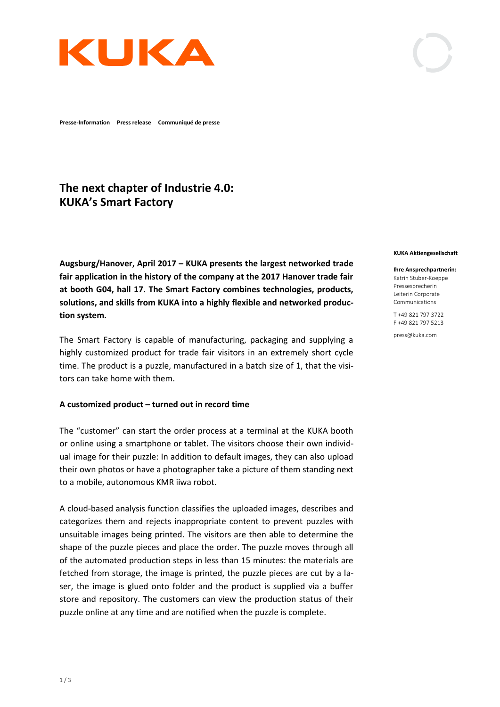

**Presse-Information Press release Communiqué de presse**

# **The next chapter of Industrie 4.0: KUKA's Smart Factory**

**Augsburg/Hanover, April 2017 – KUKA presents the largest networked trade fair application in the history of the company at the 2017 Hanover trade fair at booth G04, hall 17. The Smart Factory combines technologies, products, solutions, and skills from KUKA into a highly flexible and networked production system.** 

The Smart Factory is capable of manufacturing, packaging and supplying a highly customized product for trade fair visitors in an extremely short cycle time. The product is a puzzle, manufactured in a batch size of 1, that the visitors can take home with them.

### **A customized product – turned out in record time**

The "customer" can start the order process at a terminal at the KUKA booth or online using a smartphone or tablet. The visitors choose their own individual image for their puzzle: In addition to default images, they can also upload their own photos or have a photographer take a picture of them standing next to a mobile, autonomous KMR iiwa robot.

A cloud-based analysis function classifies the uploaded images, describes and categorizes them and rejects inappropriate content to prevent puzzles with unsuitable images being printed. The visitors are then able to determine the shape of the puzzle pieces and place the order. The puzzle moves through all of the automated production steps in less than 15 minutes: the materials are fetched from storage, the image is printed, the puzzle pieces are cut by a laser, the image is glued onto folder and the product is supplied via a buffer store and repository. The customers can view the production status of their puzzle online at any time and are notified when the puzzle is complete.

#### **KUKA Aktiengesellschaft**

#### **Ihre Ansprechpartnerin:**

Katrin Stuber-Koeppe Pressesprecherin Leiterin Corporate Communications

T +49 821 797 3722 F +49 821 797 5213

press@kuka.com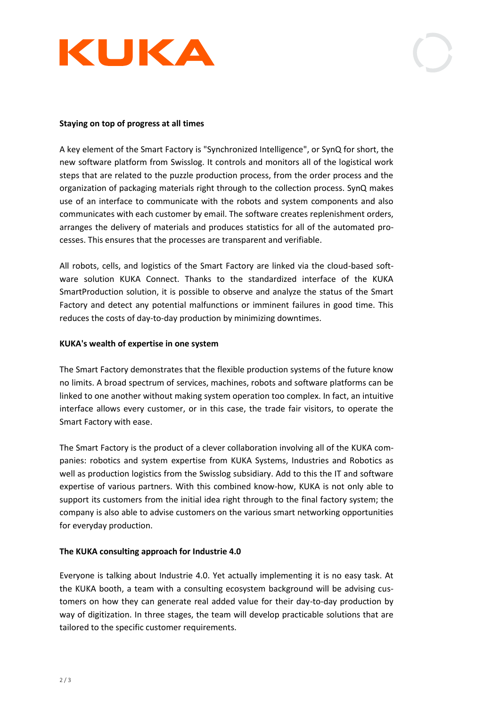

# **Staying on top of progress at all times**

A key element of the Smart Factory is "Synchronized Intelligence", or SynQ for short, the new software platform from Swisslog. It controls and monitors all of the logistical work steps that are related to the puzzle production process, from the order process and the organization of packaging materials right through to the collection process. SynQ makes use of an interface to communicate with the robots and system components and also communicates with each customer by email. The software creates replenishment orders, arranges the delivery of materials and produces statistics for all of the automated processes. This ensures that the processes are transparent and verifiable.

All robots, cells, and logistics of the Smart Factory are linked via the cloud-based software solution KUKA Connect. Thanks to the standardized interface of the KUKA SmartProduction solution, it is possible to observe and analyze the status of the Smart Factory and detect any potential malfunctions or imminent failures in good time. This reduces the costs of day-to-day production by minimizing downtimes.

# **KUKA's wealth of expertise in one system**

The Smart Factory demonstrates that the flexible production systems of the future know no limits. A broad spectrum of services, machines, robots and software platforms can be linked to one another without making system operation too complex. In fact, an intuitive interface allows every customer, or in this case, the trade fair visitors, to operate the Smart Factory with ease.

The Smart Factory is the product of a clever collaboration involving all of the KUKA companies: robotics and system expertise from KUKA Systems, Industries and Robotics as well as production logistics from the Swisslog subsidiary. Add to this the IT and software expertise of various partners. With this combined know-how, KUKA is not only able to support its customers from the initial idea right through to the final factory system; the company is also able to advise customers on the various smart networking opportunities for everyday production.

# **The KUKA consulting approach for Industrie 4.0**

Everyone is talking about Industrie 4.0. Yet actually implementing it is no easy task. At the KUKA booth, a team with a consulting ecosystem background will be advising customers on how they can generate real added value for their day-to-day production by way of digitization. In three stages, the team will develop practicable solutions that are tailored to the specific customer requirements.